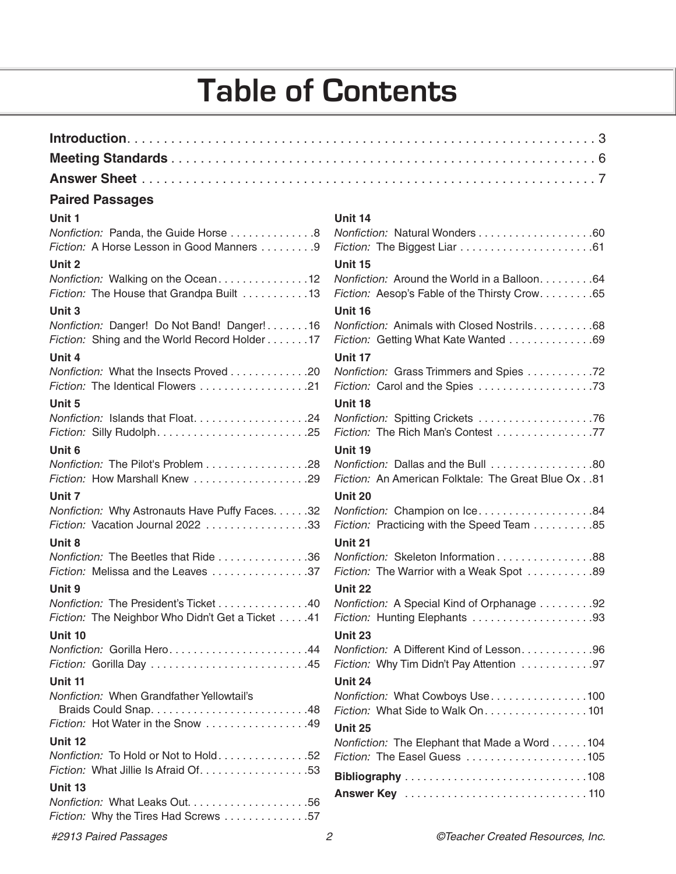## **Table of Contents**

#### **Paired Passages**

| ×<br>$\sim$<br>v |
|------------------|
|------------------|

| Nonfiction: Panda, the Guide Horse 8<br>Fiction: A Horse Lesson in Good Manners 9           |                                                                                             |
|---------------------------------------------------------------------------------------------|---------------------------------------------------------------------------------------------|
| Unit 2                                                                                      | Unit 15                                                                                     |
| Nonfiction: Walking on the Ocean12<br>Fiction: The House that Grandpa Built 13              | Nonfiction: Around the World in a Balloon64<br>Fiction: Aesop's Fable of the Thirsty Crow65 |
| Unit 3                                                                                      | Unit 16                                                                                     |
| Nonfiction: Danger! Do Not Band! Danger!16<br>Fiction: Shing and the World Record Holder 17 | Nonfiction: Animals with Closed Nostrils68<br>Fiction: Getting What Kate Wanted 69          |
| Unit 4                                                                                      | Unit 17                                                                                     |
| Nonfiction: What the Insects Proved 20                                                      | Nonfiction: Grass Trimmers and Spies 72                                                     |
| Unit 5                                                                                      | Unit 18                                                                                     |
| Nonfiction: Islands that Float24                                                            | Nonfiction: Spitting Crickets 76<br>Fiction: The Rich Man's Contest 77                      |
| Unit 6                                                                                      | Unit 19                                                                                     |
| Nonfiction: The Pilot's Problem 28<br>Fiction: How Marshall Knew 29                         | Nonfiction: Dallas and the Bull 80<br>Fiction: An American Folktale: The Great Blue Ox 81   |
| Unit 7                                                                                      | Unit 20                                                                                     |
| Nonfiction: Why Astronauts Have Puffy Faces. 32<br>Fiction: Vacation Journal 2022 33        | Nonfiction: Champion on Ice84<br>Fiction: Practicing with the Speed Team 85                 |
| Unit 8                                                                                      | Unit 21                                                                                     |
| Nonfiction: The Beetles that Ride 36<br>Fiction: Melissa and the Leaves 37                  | Nonfiction: Skeleton Information 88<br>Fiction: The Warrior with a Weak Spot 89             |
| Unit 9                                                                                      | Unit 22                                                                                     |
| Nonfiction: The President's Ticket 40<br>Fiction: The Neighbor Who Didn't Get a Ticket 41   | Nonfiction: A Special Kind of Orphanage 92<br>Fiction: Hunting Elephants 93                 |
| Unit 10                                                                                     | Unit 23                                                                                     |
| Nonfiction: Gorilla Hero44<br>Fiction: Gorilla Day 45                                       | Nonfiction: A Different Kind of Lesson96<br>Fiction: Why Tim Didn't Pay Attention 97        |
| Unit 11                                                                                     | Unit 24                                                                                     |
| Nonfiction: When Grandfather Yellowtail's                                                   | Nonfiction: What Cowboys Use100                                                             |
|                                                                                             | Fiction: What Side to Walk On. 101                                                          |
| Fiction: Hot Water in the Snow 49                                                           | Unit 25                                                                                     |
| Unit 12                                                                                     | Nonfiction: The Elephant that Made a Word 104                                               |
| Nonfiction: To Hold or Not to Hold52<br>Fiction: What Jillie Is Afraid Of53                 | Fiction: The Easel Guess 105                                                                |
| Unit 13                                                                                     |                                                                                             |
| Fiction: Why the Tires Had Screws 57                                                        |                                                                                             |
| #2913 Paired Passages                                                                       | $\mathfrak{p}$<br>©Teacher Created Resources, Inc.                                          |

#### **Unit 14**

| Nonfiction: Natural Wonders 60                                                            |
|-------------------------------------------------------------------------------------------|
| Unit 15                                                                                   |
| Nonfiction: Around the World in a Balloon. 64                                             |
| Fiction: Aesop's Fable of the Thirsty Crow65                                              |
| Unit 16                                                                                   |
| Nonfiction: Animals with Closed Nostrils. 68                                              |
| Fiction: Getting What Kate Wanted 69                                                      |
| Unit 17                                                                                   |
| Nonfiction: Grass Trimmers and Spies 72                                                   |
| Fiction: Carol and the Spies 73                                                           |
| Unit 18                                                                                   |
| Nonfiction: Spitting Crickets 76                                                          |
| Fiction: The Rich Man's Contest 77                                                        |
| Unit 19                                                                                   |
| Nonfiction: Dallas and the Bull 80<br>Fiction: An American Folktale: The Great Blue Ox 81 |
|                                                                                           |
| Unit 20<br>Nonfiction: Champion on Ice84                                                  |
| Fiction: Practicing with the Speed Team 85                                                |
| Unit 21                                                                                   |
| Nonfiction: Skeleton Information 88                                                       |
| Fiction: The Warrior with a Weak Spot 89                                                  |
| Unit 22                                                                                   |
| Nonfiction: A Special Kind of Orphanage 92                                                |
| Fiction: Hunting Elephants 93                                                             |
| Unit 23                                                                                   |
| Nonfiction: A Different Kind of Lesson. 96                                                |
| Fiction: Why Tim Didn't Pay Attention 97                                                  |
| Unit 24                                                                                   |
| Nonfiction: What Cowboys Use100                                                           |
| Fiction: What Side to Walk On. 101                                                        |
| Unit 25                                                                                   |
| Nonfiction: The Elephant that Made a Word 104                                             |
| Fiction: The Easel Guess 105                                                              |
|                                                                                           |
|                                                                                           |
|                                                                                           |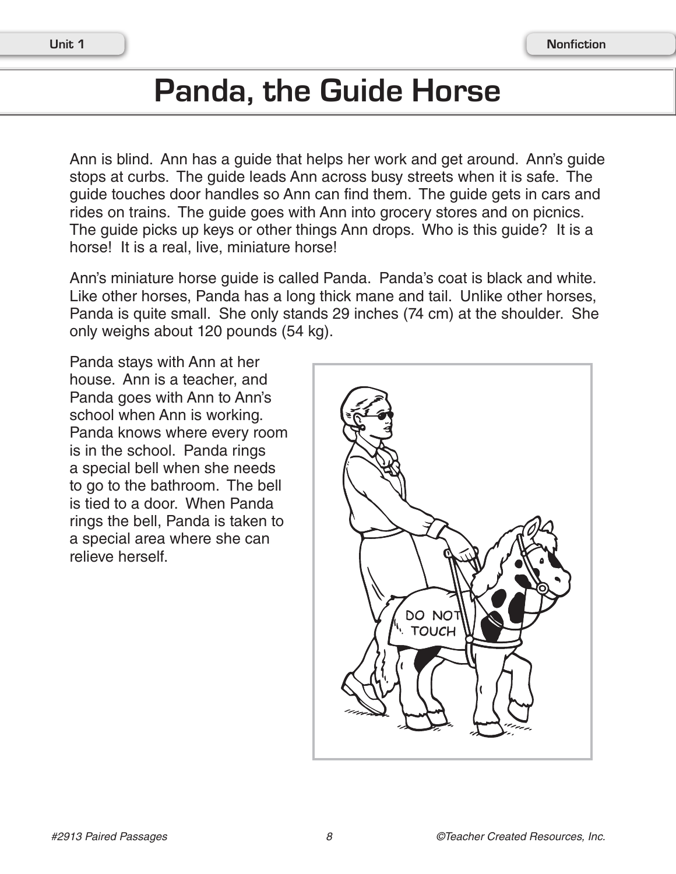## **Panda, the Guide Horse**

Ann is blind. Ann has a guide that helps her work and get around. Ann's guide stops at curbs. The guide leads Ann across busy streets when it is safe. The guide touches door handles so Ann can find them. The guide gets in cars and rides on trains. The guide goes with Ann into grocery stores and on picnics. The guide picks up keys or other things Ann drops. Who is this guide? It is a horse! It is a real, live, miniature horse!

Ann's miniature horse guide is called Panda. Panda's coat is black and white. Like other horses, Panda has a long thick mane and tail. Unlike other horses, Panda is quite small. She only stands 29 inches (74 cm) at the shoulder. She only weighs about 120 pounds (54 kg).

Panda stays with Ann at her house. Ann is a teacher, and Panda goes with Ann to Ann's school when Ann is working. Panda knows where every room is in the school. Panda rings a special bell when she needs to go to the bathroom. The bell is tied to a door. When Panda rings the bell, Panda is taken to a special area where she can relieve herself.

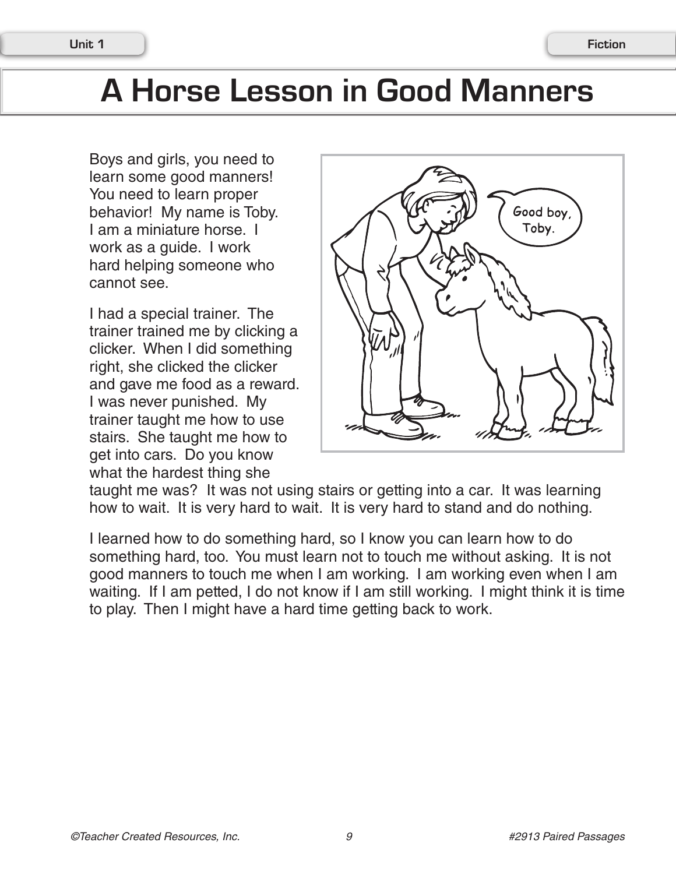## **A Horse Lesson in Good Manners**

Boys and girls, you need to learn some good manners! You need to learn proper behavior! My name is Toby. I am a miniature horse. I work as a guide. I work hard helping someone who cannot see.

I had a special trainer. The trainer trained me by clicking a clicker. When I did something right, she clicked the clicker and gave me food as a reward. I was never punished. My trainer taught me how to use stairs. She taught me how to get into cars. Do you know what the hardest thing she



taught me was? It was not using stairs or getting into a car. It was learning how to wait. It is very hard to wait. It is very hard to stand and do nothing.

I learned how to do something hard, so I know you can learn how to do something hard, too. You must learn not to touch me without asking. It is not good manners to touch me when I am working. I am working even when I am waiting. If I am petted, I do not know if I am still working. I might think it is time to play. Then I might have a hard time getting back to work.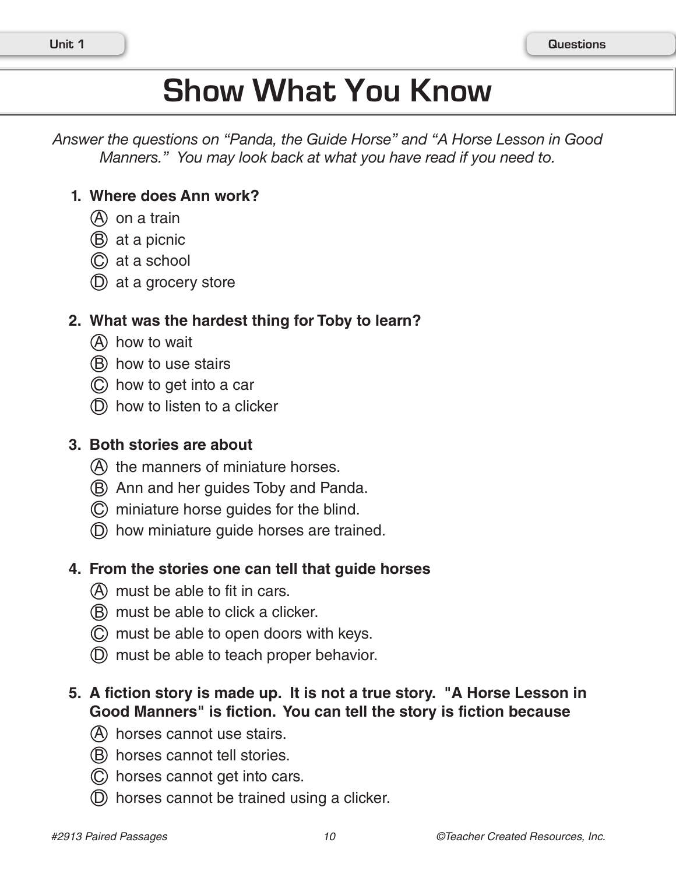# **Show What You Know**

*Answer the questions on "Panda, the Guide Horse" and "A Horse Lesson in Good Manners." You may look back at what you have read if you need to.*

### **1. Where does Ann work?**

- (A) on a train
- $(B)$  at a picnic
- C at a school
- $(D)$  at a grocery store

#### **2. What was the hardest thing for Toby to learn?**

- (A) how to wait
- B how to use stairs
- C how to get into a car
- $(D)$  how to listen to a clicker

#### **3. Both stories are about**

- A the manners of miniature horses.
- B Ann and her guides Toby and Panda.
- C miniature horse guides for the blind.
- D how miniature guide horses are trained.

### **4. From the stories one can tell that guide horses**

- A must be able to fit in cars.
- (B) must be able to click a clicker.
- (C) must be able to open doors with keys.
- D must be able to teach proper behavior.

### **5. A fiction story is made up. It is not a true story. "A Horse Lesson in Good Manners" is fiction. You can tell the story is fiction because**

- (A) horses cannot use stairs.
- (B) horses cannot tell stories.
- C horses cannot get into cars.
- D horses cannot be trained using a clicker.